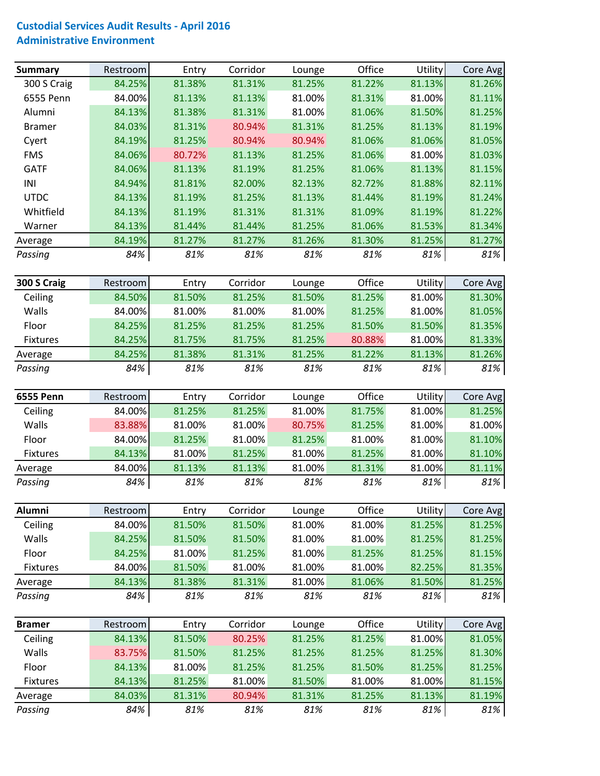## **Custodial Services Audit Results ‐ April 2016 Administrative Environment**

| <b>Summary</b>   | Restroom | Entry  | Corridor | Lounge | Office | Utility | Core Avg |
|------------------|----------|--------|----------|--------|--------|---------|----------|
| 300 S Craig      | 84.25%   | 81.38% | 81.31%   | 81.25% | 81.22% | 81.13%  | 81.26%   |
| 6555 Penn        | 84.00%   | 81.13% | 81.13%   | 81.00% | 81.31% | 81.00%  | 81.11%   |
| Alumni           | 84.13%   | 81.38% | 81.31%   | 81.00% | 81.06% | 81.50%  | 81.25%   |
| <b>Bramer</b>    | 84.03%   | 81.31% | 80.94%   | 81.31% | 81.25% | 81.13%  | 81.19%   |
| Cyert            | 84.19%   | 81.25% | 80.94%   | 80.94% | 81.06% | 81.06%  | 81.05%   |
| <b>FMS</b>       | 84.06%   | 80.72% | 81.13%   | 81.25% | 81.06% | 81.00%  | 81.03%   |
| <b>GATF</b>      | 84.06%   | 81.13% | 81.19%   | 81.25% | 81.06% | 81.13%  | 81.15%   |
| INI              | 84.94%   | 81.81% | 82.00%   | 82.13% | 82.72% | 81.88%  | 82.11%   |
| <b>UTDC</b>      | 84.13%   | 81.19% | 81.25%   | 81.13% | 81.44% | 81.19%  | 81.24%   |
| Whitfield        | 84.13%   | 81.19% | 81.31%   | 81.31% | 81.09% | 81.19%  | 81.22%   |
| Warner           | 84.13%   | 81.44% | 81.44%   | 81.25% | 81.06% | 81.53%  | 81.34%   |
| Average          | 84.19%   | 81.27% | 81.27%   | 81.26% | 81.30% | 81.25%  | 81.27%   |
| Passing          | 84%      | 81%    | 81%      | 81%    | 81%    | 81%     | 81%      |
| 300 S Craig      | Restroom | Entry  | Corridor | Lounge | Office | Utility | Core Avg |
| Ceiling          | 84.50%   | 81.50% | 81.25%   | 81.50% | 81.25% | 81.00%  | 81.30%   |
| Walls            | 84.00%   | 81.00% | 81.00%   | 81.00% | 81.25% | 81.00%  | 81.05%   |
| Floor            | 84.25%   | 81.25% | 81.25%   | 81.25% | 81.50% | 81.50%  | 81.35%   |
| Fixtures         | 84.25%   | 81.75% | 81.75%   | 81.25% | 80.88% | 81.00%  | 81.33%   |
| Average          | 84.25%   | 81.38% | 81.31%   | 81.25% | 81.22% | 81.13%  | 81.26%   |
| Passing          | 84%      | 81%    | 81%      | 81%    | 81%    | 81%     | 81%      |
|                  |          |        |          |        |        |         |          |
| <b>6555 Penn</b> | Restroom | Entry  | Corridor | Lounge | Office | Utility | Core Avg |
| Ceiling          | 84.00%   | 81.25% | 81.25%   | 81.00% | 81.75% | 81.00%  | 81.25%   |
| Walls            | 83.88%   | 81.00% | 81.00%   | 80.75% | 81.25% | 81.00%  | 81.00%   |
| Floor            | 84.00%   | 81.25% | 81.00%   | 81.25% | 81.00% | 81.00%  | 81.10%   |
| <b>Fixtures</b>  | 84.13%   | 81.00% | 81.25%   | 81.00% | 81.25% | 81.00%  | 81.10%   |
| Average          | 84.00%   | 81.13% | 81.13%   | 81.00% | 81.31% | 81.00%  | 81.11%   |
| Passing          | 84%      | 81%    | 81%      | 81%    | 81%    | 81%     | 81%      |
| Alumni           | Restroom | Entry  | Corridor | Lounge | Office | Utility | Core Avg |
| Ceiling          | 84.00%   | 81.50% | 81.50%   | 81.00% | 81.00% | 81.25%  | 81.25%   |
| Walls            | 84.25%   | 81.50% | 81.50%   | 81.00% | 81.00% | 81.25%  | 81.25%   |
| Floor            | 84.25%   | 81.00% | 81.25%   | 81.00% | 81.25% | 81.25%  | 81.15%   |
| <b>Fixtures</b>  | 84.00%   | 81.50% | 81.00%   | 81.00% | 81.00% | 82.25%  | 81.35%   |
| Average          | 84.13%   | 81.38% | 81.31%   | 81.00% | 81.06% | 81.50%  | 81.25%   |
| Passing          | 84%      | 81%    | 81%      | 81%    | 81%    | 81%     | 81%      |
| <b>Bramer</b>    | Restroom | Entry  | Corridor | Lounge | Office | Utility | Core Avg |
| Ceiling          | 84.13%   | 81.50% | 80.25%   | 81.25% | 81.25% | 81.00%  | 81.05%   |
| Walls            | 83.75%   | 81.50% | 81.25%   | 81.25% | 81.25% | 81.25%  | 81.30%   |
| Floor            | 84.13%   | 81.00% | 81.25%   | 81.25% | 81.50% | 81.25%  | 81.25%   |
| Fixtures         | 84.13%   | 81.25% | 81.00%   | 81.50% | 81.00% | 81.00%  | 81.15%   |
|                  | 84.03%   | 81.31% | 80.94%   | 81.31% | 81.25% | 81.13%  | 81.19%   |
| Average          |          |        |          |        |        |         |          |
| Passing          | 84%      | 81%    | 81%      | 81%    | 81%    | 81%     | 81%      |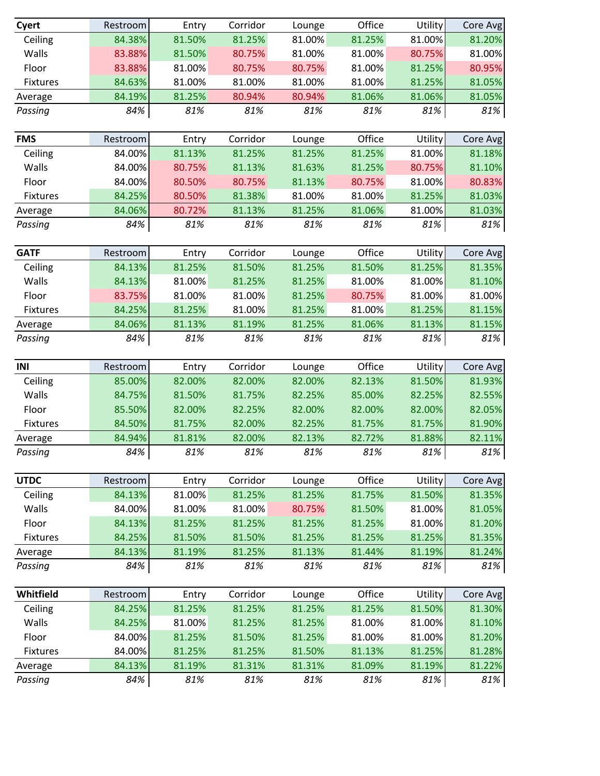| Cyert               | Restroom         | Entry            | Corridor         | Lounge           | Office           | Utility          | Core Avg         |
|---------------------|------------------|------------------|------------------|------------------|------------------|------------------|------------------|
| Ceiling             | 84.38%           | 81.50%           | 81.25%           | 81.00%           | 81.25%           | 81.00%           | 81.20%           |
| Walls               | 83.88%           | 81.50%           | 80.75%           | 81.00%           | 81.00%           | 80.75%           | 81.00%           |
| Floor               | 83.88%           | 81.00%           | 80.75%           | 80.75%           | 81.00%           | 81.25%           | 80.95%           |
| Fixtures            | 84.63%           | 81.00%           | 81.00%           | 81.00%           | 81.00%           | 81.25%           | 81.05%           |
| Average             | 84.19%           | 81.25%           | 80.94%           | 80.94%           | 81.06%           | 81.06%           | 81.05%           |
| Passing             | 84%              | 81%              | 81%              | 81%              | 81%              | 81%              | 81%              |
| <b>FMS</b>          | Restroom         | Entry            | Corridor         | Lounge           | Office           | Utility          | Core Avg         |
| Ceiling             | 84.00%           | 81.13%           | 81.25%           | 81.25%           | 81.25%           | 81.00%           | 81.18%           |
| Walls               | 84.00%           | 80.75%           | 81.13%           | 81.63%           | 81.25%           | 80.75%           | 81.10%           |
| Floor               | 84.00%           | 80.50%           | 80.75%           | 81.13%           | 80.75%           | 81.00%           | 80.83%           |
| Fixtures            | 84.25%           | 80.50%           | 81.38%           | 81.00%           | 81.00%           | 81.25%           | 81.03%           |
| Average             | 84.06%           | 80.72%           | 81.13%           | 81.25%           | 81.06%           | 81.00%           | 81.03%           |
| Passing             | 84%              | 81%              | 81%              | 81%              | 81%              | 81%              | 81%              |
| <b>GATF</b>         | Restroom         | Entry            | Corridor         | Lounge           | Office           | Utility          | Core Avg         |
| Ceiling             | 84.13%           | 81.25%           | 81.50%           | 81.25%           | 81.50%           | 81.25%           | 81.35%           |
| Walls               | 84.13%           | 81.00%           | 81.25%           | 81.25%           | 81.00%           | 81.00%           | 81.10%           |
| Floor               | 83.75%           | 81.00%           | 81.00%           | 81.25%           | 80.75%           | 81.00%           | 81.00%           |
| Fixtures            | 84.25%           | 81.25%           | 81.00%           | 81.25%           | 81.00%           | 81.25%           | 81.15%           |
| Average             | 84.06%           | 81.13%           | 81.19%           | 81.25%           | 81.06%           | 81.13%           | 81.15%           |
| Passing             | 84%              | 81%              | 81%              | 81%              | 81%              | 81%              | 81%              |
|                     |                  |                  |                  |                  |                  |                  |                  |
| INI                 |                  |                  |                  |                  |                  |                  |                  |
|                     | Restroom         | Entry            | Corridor         | Lounge           | Office           | Utility          | Core Avg         |
| Ceiling<br>Walls    | 85.00%           | 82.00%<br>81.50% | 82.00%           | 82.00%<br>82.25% | 82.13%<br>85.00% | 81.50%<br>82.25% | 81.93%           |
| Floor               | 84.75%<br>85.50% | 82.00%           | 81.75%<br>82.25% | 82.00%           | 82.00%           | 82.00%           | 82.55%<br>82.05% |
| Fixtures            | 84.50%           | 81.75%           | 82.00%           | 82.25%           | 81.75%           | 81.75%           | 81.90%           |
|                     | 84.94%           | 81.81%           | 82.00%           | 82.13%           | 82.72%           | 81.88%           | 82.11%           |
| Average<br>Passing  | 84%              | 81%              | 81%              | 81%              | 81%              | 81%              | 81%              |
|                     |                  |                  |                  |                  |                  |                  |                  |
| <b>UTDC</b>         | Restroom         | Entry            | Corridor         | Lounge           | Office           | Utility          | Core Avg         |
| Ceiling             | 84.13%           | 81.00%           | 81.25%           | 81.25%           | 81.75%           | 81.50%           | 81.35%           |
| Walls               | 84.00%           | 81.00%           | 81.00%           | 80.75%           | 81.50%           | 81.00%           | 81.05%           |
| Floor               | 84.13%<br>84.25% | 81.25%           | 81.25%           | 81.25%           | 81.25%           | 81.00%           | 81.20%           |
| Fixtures            | 84.13%           | 81.50%<br>81.19% | 81.50%<br>81.25% | 81.25%<br>81.13% | 81.25%<br>81.44% | 81.25%<br>81.19% | 81.35%           |
| Average<br>Passing  | 84%              | 81%              | 81%              | 81%              | 81%              | 81%              | 81.24%<br>81%    |
|                     |                  |                  |                  |                  |                  |                  |                  |
| Whitfield           | Restroom         | Entry            | Corridor         | Lounge           | Office           | Utility          | Core Avg         |
| Ceiling             | 84.25%           | 81.25%           | 81.25%           | 81.25%           | 81.25%           | 81.50%           | 81.30%           |
| Walls               | 84.25%           | 81.00%           | 81.25%           | 81.25%           | 81.00%           | 81.00%           | 81.10%           |
| Floor               | 84.00%           | 81.25%           | 81.50%           | 81.25%           | 81.00%           | 81.00%           | 81.20%           |
| Fixtures<br>Average | 84.00%<br>84.13% | 81.25%<br>81.19% | 81.25%<br>81.31% | 81.50%<br>81.31% | 81.13%<br>81.09% | 81.25%<br>81.19% | 81.28%<br>81.22% |